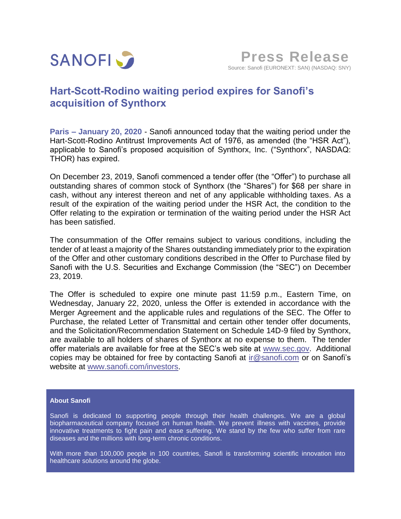

# **Hart-Scott-Rodino waiting period expires for Sanofi's acquisition of Synthorx**

**Paris – January 20, 2020** - Sanofi announced today that the waiting period under the Hart-Scott-Rodino Antitrust Improvements Act of 1976, as amended (the "HSR Act"), applicable to Sanofi's proposed acquisition of Synthorx, Inc. ("Synthorx", NASDAQ: THOR) has expired.

On December 23, 2019, Sanofi commenced a tender offer (the "Offer") to purchase all outstanding shares of common stock of Synthorx (the "Shares") for \$68 per share in cash, without any interest thereon and net of any applicable withholding taxes. As a result of the expiration of the waiting period under the HSR Act, the condition to the Offer relating to the expiration or termination of the waiting period under the HSR Act has been satisfied.

The consummation of the Offer remains subject to various conditions, including the tender of at least a majority of the Shares outstanding immediately prior to the expiration of the Offer and other customary conditions described in the Offer to Purchase filed by Sanofi with the U.S. Securities and Exchange Commission (the "SEC") on December 23, 2019.

The Offer is scheduled to expire one minute past 11:59 p.m., Eastern Time, on Wednesday, January 22, 2020, unless the Offer is extended in accordance with the Merger Agreement and the applicable rules and regulations of the SEC. The Offer to Purchase, the related Letter of Transmittal and certain other tender offer documents, and the Solicitation/Recommendation Statement on Schedule 14D-9 filed by Synthorx, are available to all holders of shares of Synthorx at no expense to them. The tender offer materials are available for free at the SEC's web site at [www.sec.gov.](http://www.sec.gov/) Additional copies may be obtained for free by contacting Sanofi at [ir@sanofi.com](mailto:ir@sanofi.com) or on Sanofi's website at [www.sanofi.com/investors](http://www.sanofi.com/investors).

## **About Sanofi**

Sanofi is dedicated to supporting people through their health challenges. We are a global biopharmaceutical company focused on human health. We prevent illness with vaccines, provide innovative treatments to fight pain and ease suffering. We stand by the few who suffer from rare diseases and the millions with long-term chronic conditions.

With more than 100,000 people in 100 countries, Sanofi is transforming scientific innovation into healthcare solutions around the globe.